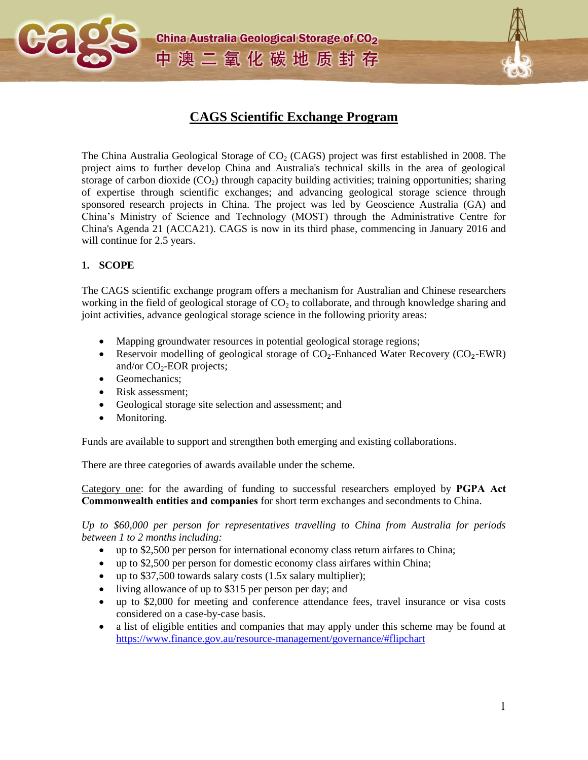

# **CAGS Scientific Exchange Program**

The China Australia Geological Storage of  $CO<sub>2</sub>$  (CAGS) project was first established in 2008. The project aims to further develop China and Australia's technical skills in the area of geological storage of carbon dioxide  $(CO<sub>2</sub>)$  through capacity building activities; training opportunities; sharing of expertise through scientific exchanges; and advancing geological storage science through sponsored research projects in China. The project was led by Geoscience Australia (GA) and China's Ministry of Science and Technology (MOST) through the Administrative Centre for China's Agenda 21 (ACCA21). CAGS is now in its third phase, commencing in January 2016 and will continue for 2.5 years.

#### **1. SCOPE**

The CAGS scientific exchange program offers a mechanism for Australian and Chinese researchers working in the field of geological storage of  $CO<sub>2</sub>$  to collaborate, and through knowledge sharing and joint activities, advance geological storage science in the following priority areas:

- Mapping groundwater resources in potential geological storage regions;
- Reservoir modelling of geological storage of  $CO<sub>2</sub>$ -Enhanced Water Recovery ( $CO<sub>2</sub>$ -EWR) and/or  $CO<sub>2</sub>$ -EOR projects;
- Geomechanics:
- Risk assessment;
- Geological storage site selection and assessment; and
- Monitoring.

Funds are available to support and strengthen both emerging and existing collaborations.

There are three categories of awards available under the scheme.

Category one: for the awarding of funding to successful researchers employed by **PGPA Act Commonwealth entities and companies** for short term exchanges and secondments to China.

*Up to \$60,000 per person for representatives travelling to China from Australia for periods between 1 to 2 months including:*

- up to \$2,500 per person for international economy class return airfares to China;
- up to \$2,500 per person for domestic economy class airfares within China;
- up to \$37,500 towards salary costs (1.5x salary multiplier);
- living allowance of up to \$315 per person per day; and
- up to \$2,000 for meeting and conference attendance fees, travel insurance or visa costs considered on a case-by-case basis.
- a list of eligible entities and companies that may apply under this scheme may be found at <https://www.finance.gov.au/resource-management/governance/#flipchart>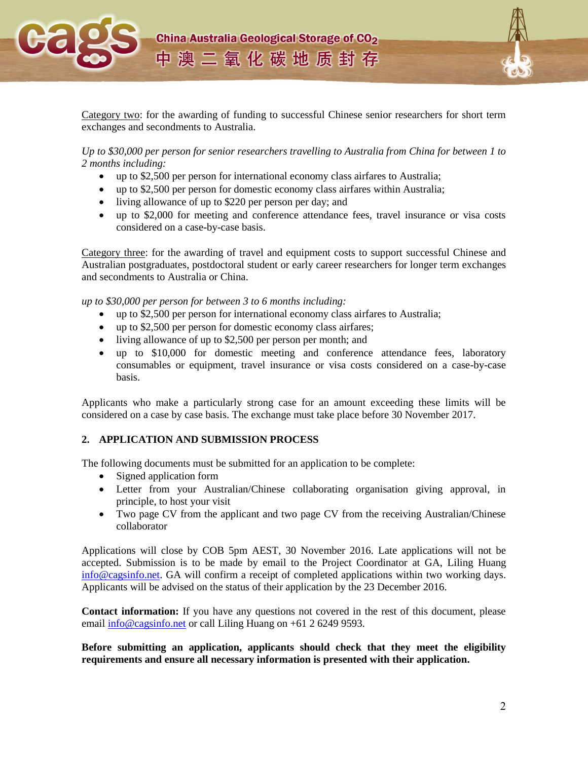

Category two: for the awarding of funding to successful Chinese senior researchers for short term exchanges and secondments to Australia.

*Up to \$30,000 per person for senior researchers travelling to Australia from China for between 1 to 2 months including:*

- up to \$2,500 per person for international economy class airfares to Australia;
- up to \$2,500 per person for domestic economy class airfares within Australia;
- living allowance of up to \$220 per person per day; and
- up to \$2,000 for meeting and conference attendance fees, travel insurance or visa costs considered on a case-by-case basis.

Category three: for the awarding of travel and equipment costs to support successful Chinese and Australian postgraduates, postdoctoral student or early career researchers for longer term exchanges and secondments to Australia or China.

*up to \$30,000 per person for between 3 to 6 months including:*

- up to \$2,500 per person for international economy class airfares to Australia;
- up to \$2,500 per person for domestic economy class airfares;
- living allowance of up to \$2,500 per person per month; and
- up to \$10,000 for domestic meeting and conference attendance fees, laboratory consumables or equipment, travel insurance or visa costs considered on a case-by-case basis.

Applicants who make a particularly strong case for an amount exceeding these limits will be considered on a case by case basis. The exchange must take place before 30 November 2017.

#### **2. APPLICATION AND SUBMISSION PROCESS**

The following documents must be submitted for an application to be complete:

- Signed application form
- Letter from your Australian/Chinese collaborating organisation giving approval, in principle, to host your visit
- Two page CV from the applicant and two page CV from the receiving Australian/Chinese collaborator

Applications will close by COB 5pm AEST, 30 November 2016. Late applications will not be accepted. Submission is to be made by email to the Project Coordinator at GA, Liling Huang [info@cagsinfo.net.](mailto:info@cagsinfo.net) GA will confirm a receipt of completed applications within two working days. Applicants will be advised on the status of their application by the 23 December 2016.

**Contact information:** If you have any questions not covered in the rest of this document, please email [info@cagsinfo.net](mailto:info@cagsinfo.net) or call Liling Huang on +61 2 6249 9593.

**Before submitting an application, applicants should check that they meet the eligibility requirements and ensure all necessary information is presented with their application.**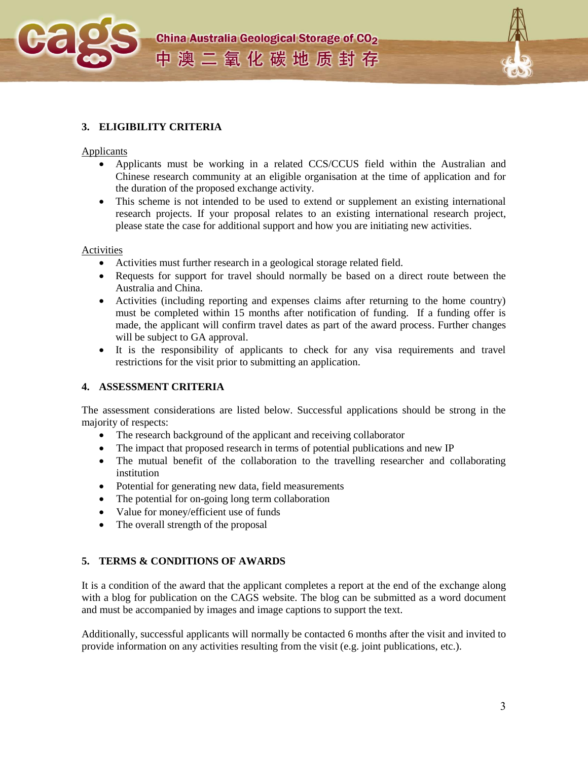





### **3. ELIGIBILITY CRITERIA**

#### Applicants

- Applicants must be working in a related CCS/CCUS field within the Australian and Chinese research community at an eligible organisation at the time of application and for the duration of the proposed exchange activity.
- This scheme is not intended to be used to extend or supplement an existing international research projects. If your proposal relates to an existing international research project, please state the case for additional support and how you are initiating new activities.

#### Activities

- Activities must further research in a geological storage related field.
- Requests for support for travel should normally be based on a direct route between the Australia and China.
- Activities (including reporting and expenses claims after returning to the home country) must be completed within 15 months after notification of funding. If a funding offer is made, the applicant will confirm travel dates as part of the award process. Further changes will be subject to GA approval.
- It is the responsibility of applicants to check for any visa requirements and travel restrictions for the visit prior to submitting an application.

#### **4. ASSESSMENT CRITERIA**

The assessment considerations are listed below. Successful applications should be strong in the majority of respects:

- The research background of the applicant and receiving collaborator
- The impact that proposed research in terms of potential publications and new IP
- The mutual benefit of the collaboration to the travelling researcher and collaborating institution
- Potential for generating new data, field measurements
- The potential for on-going long term collaboration
- Value for money/efficient use of funds
- The overall strength of the proposal

#### **5. TERMS & CONDITIONS OF AWARDS**

It is a condition of the award that the applicant completes a report at the end of the exchange along with a blog for publication on the CAGS website. The blog can be submitted as a word document and must be accompanied by images and image captions to support the text.

Additionally, successful applicants will normally be contacted 6 months after the visit and invited to provide information on any activities resulting from the visit (e.g. joint publications, etc.).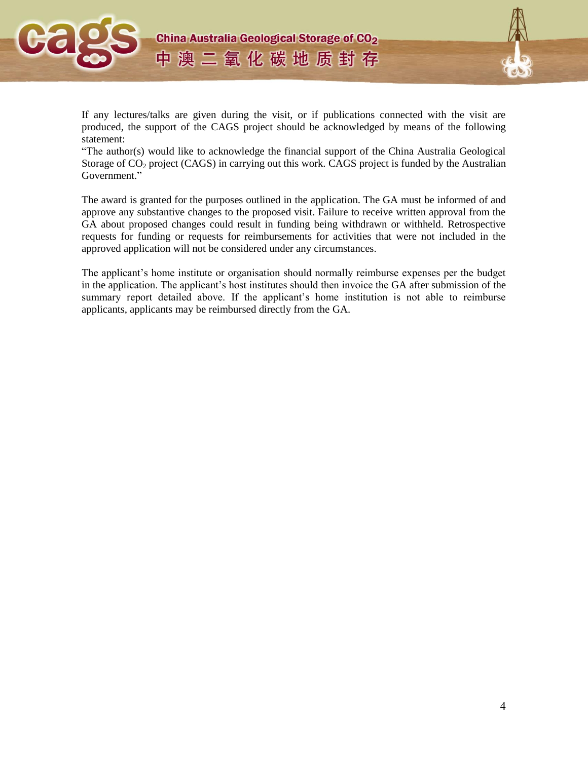



If any lectures/talks are given during the visit, or if publications connected with the visit are produced, the support of the CAGS project should be acknowledged by means of the following statement:

"The author(s) would like to acknowledge the financial support of the China Australia Geological Storage of  $CO<sub>2</sub>$  project (CAGS) in carrying out this work. CAGS project is funded by the Australian Government."

The award is granted for the purposes outlined in the application. The GA must be informed of and approve any substantive changes to the proposed visit. Failure to receive written approval from the GA about proposed changes could result in funding being withdrawn or withheld. Retrospective requests for funding or requests for reimbursements for activities that were not included in the approved application will not be considered under any circumstances.

The applicant's home institute or organisation should normally reimburse expenses per the budget in the application. The applicant's host institutes should then invoice the GA after submission of the summary report detailed above. If the applicant's home institution is not able to reimburse applicants, applicants may be reimbursed directly from the GA.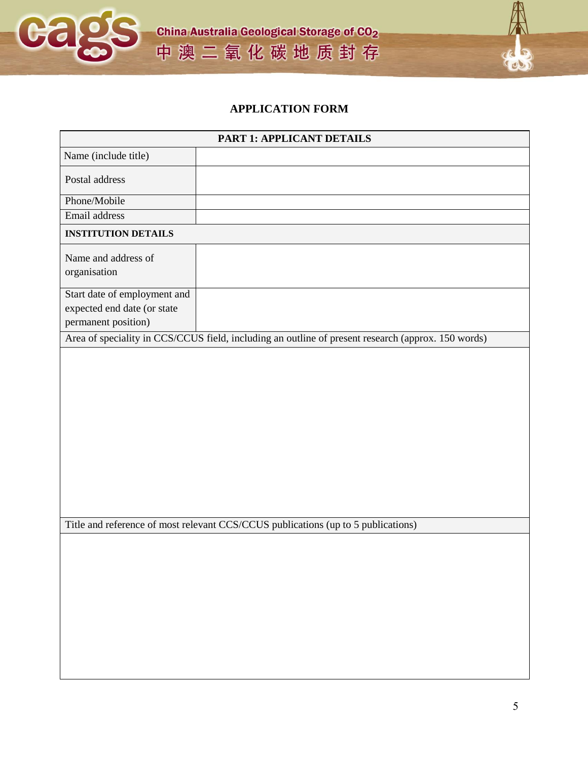

**China Australia Geological Storage of CO<sub>2</sub>** 中澳二氧化碳地质封存

## **APPLICATION FORM**

| <b>PART 1: APPLICANT DETAILS</b>                                                  |                                                                                                    |  |  |
|-----------------------------------------------------------------------------------|----------------------------------------------------------------------------------------------------|--|--|
| Name (include title)                                                              |                                                                                                    |  |  |
| Postal address                                                                    |                                                                                                    |  |  |
| Phone/Mobile                                                                      |                                                                                                    |  |  |
| Email address                                                                     |                                                                                                    |  |  |
| <b>INSTITUTION DETAILS</b>                                                        |                                                                                                    |  |  |
| Name and address of                                                               |                                                                                                    |  |  |
| organisation                                                                      |                                                                                                    |  |  |
| Start date of employment and                                                      |                                                                                                    |  |  |
| expected end date (or state                                                       |                                                                                                    |  |  |
| permanent position)                                                               |                                                                                                    |  |  |
|                                                                                   | Area of speciality in CCS/CCUS field, including an outline of present research (approx. 150 words) |  |  |
|                                                                                   |                                                                                                    |  |  |
|                                                                                   |                                                                                                    |  |  |
|                                                                                   |                                                                                                    |  |  |
|                                                                                   |                                                                                                    |  |  |
|                                                                                   |                                                                                                    |  |  |
|                                                                                   |                                                                                                    |  |  |
|                                                                                   |                                                                                                    |  |  |
|                                                                                   |                                                                                                    |  |  |
|                                                                                   |                                                                                                    |  |  |
|                                                                                   |                                                                                                    |  |  |
| Title and reference of most relevant CCS/CCUS publications (up to 5 publications) |                                                                                                    |  |  |
|                                                                                   |                                                                                                    |  |  |
|                                                                                   |                                                                                                    |  |  |
|                                                                                   |                                                                                                    |  |  |
|                                                                                   |                                                                                                    |  |  |
|                                                                                   |                                                                                                    |  |  |
|                                                                                   |                                                                                                    |  |  |
|                                                                                   |                                                                                                    |  |  |
|                                                                                   |                                                                                                    |  |  |
|                                                                                   |                                                                                                    |  |  |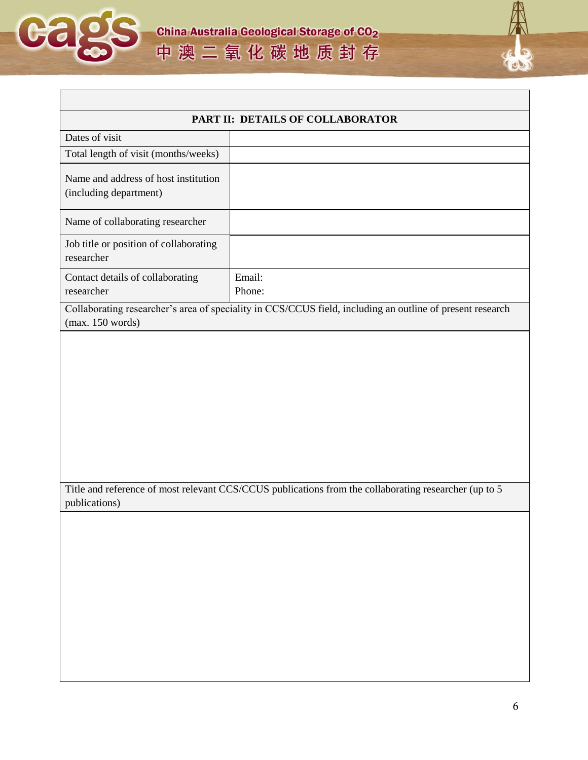



| PART II: DETAILS OF COLLABORATOR                                                                                              |                                                                                                       |  |  |
|-------------------------------------------------------------------------------------------------------------------------------|-------------------------------------------------------------------------------------------------------|--|--|
| Dates of visit                                                                                                                |                                                                                                       |  |  |
| Total length of visit (months/weeks)                                                                                          |                                                                                                       |  |  |
| Name and address of host institution<br>(including department)                                                                |                                                                                                       |  |  |
| Name of collaborating researcher                                                                                              |                                                                                                       |  |  |
| Job title or position of collaborating<br>researcher                                                                          |                                                                                                       |  |  |
| Contact details of collaborating<br>researcher                                                                                | Email:<br>Phone:                                                                                      |  |  |
| Collaborating researcher's area of speciality in CCS/CCUS field, including an outline of present research<br>(max. 150 words) |                                                                                                       |  |  |
|                                                                                                                               | Title and reference of most relevant CCS/CCUS publications from the collaborating researcher (up to 5 |  |  |
| publications)                                                                                                                 |                                                                                                       |  |  |
|                                                                                                                               |                                                                                                       |  |  |
|                                                                                                                               |                                                                                                       |  |  |
|                                                                                                                               |                                                                                                       |  |  |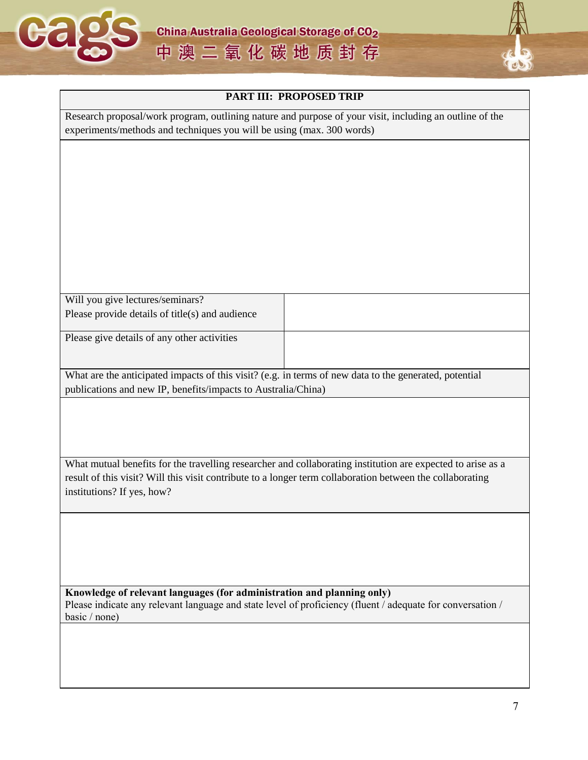



| PART III: PROPOSED TRIP                                                                                                                                                                                                  |  |  |  |  |
|--------------------------------------------------------------------------------------------------------------------------------------------------------------------------------------------------------------------------|--|--|--|--|
| Research proposal/work program, outlining nature and purpose of your visit, including an outline of the<br>experiments/methods and techniques you will be using (max. 300 words)                                         |  |  |  |  |
|                                                                                                                                                                                                                          |  |  |  |  |
|                                                                                                                                                                                                                          |  |  |  |  |
|                                                                                                                                                                                                                          |  |  |  |  |
|                                                                                                                                                                                                                          |  |  |  |  |
|                                                                                                                                                                                                                          |  |  |  |  |
|                                                                                                                                                                                                                          |  |  |  |  |
|                                                                                                                                                                                                                          |  |  |  |  |
| Will you give lectures/seminars?                                                                                                                                                                                         |  |  |  |  |
| Please provide details of title(s) and audience                                                                                                                                                                          |  |  |  |  |
| Please give details of any other activities                                                                                                                                                                              |  |  |  |  |
|                                                                                                                                                                                                                          |  |  |  |  |
| What are the anticipated impacts of this visit? (e.g. in terms of new data to the generated, potential                                                                                                                   |  |  |  |  |
| publications and new IP, benefits/impacts to Australia/China)                                                                                                                                                            |  |  |  |  |
|                                                                                                                                                                                                                          |  |  |  |  |
|                                                                                                                                                                                                                          |  |  |  |  |
|                                                                                                                                                                                                                          |  |  |  |  |
| What mutual benefits for the travelling researcher and collaborating institution are expected to arise as a<br>result of this visit? Will this visit contribute to a longer term collaboration between the collaborating |  |  |  |  |
| institutions? If yes, how?                                                                                                                                                                                               |  |  |  |  |
|                                                                                                                                                                                                                          |  |  |  |  |
|                                                                                                                                                                                                                          |  |  |  |  |
|                                                                                                                                                                                                                          |  |  |  |  |
|                                                                                                                                                                                                                          |  |  |  |  |
| Knowledge of relevant languages (for administration and planning only)<br>Please indicate any relevant language and state level of proficiency (fluent / adequate for conversation /<br>basic / none)                    |  |  |  |  |
|                                                                                                                                                                                                                          |  |  |  |  |
|                                                                                                                                                                                                                          |  |  |  |  |
|                                                                                                                                                                                                                          |  |  |  |  |